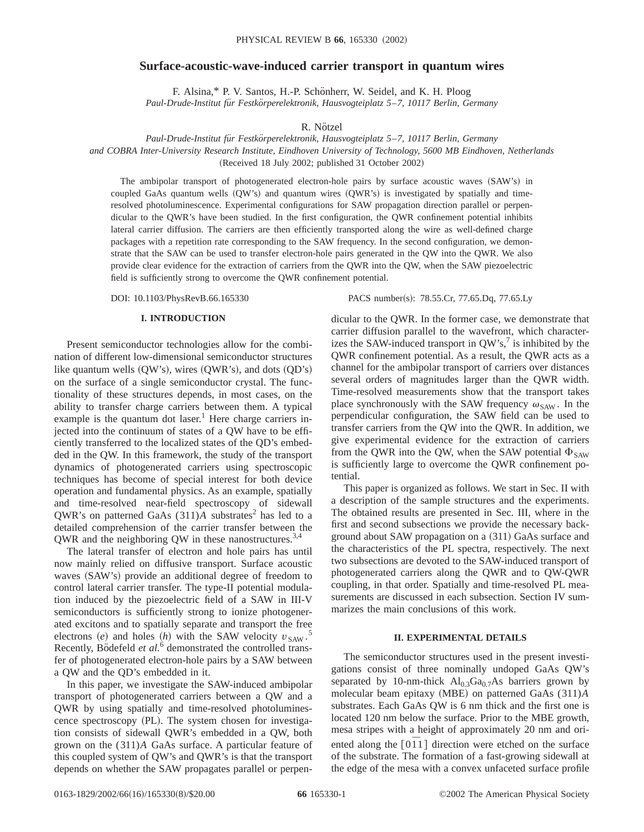# **Surface-acoustic-wave-induced carrier transport in quantum wires**

F. Alsina,\* P. V. Santos, H.-P. Schönherr, W. Seidel, and K. H. Ploog *Paul-Drude-Institut fu¨r Festko¨rperelektronik, Hausvogteiplatz 5*–*7, 10117 Berlin, Germany*

R. Nötzel

*Paul-Drude-Institut fu¨r Festko¨rperelektronik, Hausvogteiplatz 5*–*7, 10117 Berlin, Germany*

*and COBRA Inter-University Research Institute, Eindhoven University of Technology, 5600 MB Eindhoven, Netherlands*

(Received 18 July 2002; published 31 October 2002)

The ambipolar transport of photogenerated electron-hole pairs by surface acoustic waves (SAW's) in coupled GaAs quantum wells  $(QW's)$  and quantum wires  $(QWR's)$  is investigated by spatially and timeresolved photoluminescence. Experimental configurations for SAW propagation direction parallel or perpendicular to the QWR's have been studied. In the first configuration, the QWR confinement potential inhibits lateral carrier diffusion. The carriers are then efficiently transported along the wire as well-defined charge packages with a repetition rate corresponding to the SAW frequency. In the second configuration, we demonstrate that the SAW can be used to transfer electron-hole pairs generated in the QW into the QWR. We also provide clear evidence for the extraction of carriers from the QWR into the QW, when the SAW piezoelectric field is sufficiently strong to overcome the QWR confinement potential.

DOI: 10.1103/PhysRevB.66.165330 PACS number(s): 78.55.Cr, 77.65.Dq, 77.65.Ly

### **I. INTRODUCTION**

Present semiconductor technologies allow for the combination of different low-dimensional semiconductor structures like quantum wells  $(QW's)$ , wires  $(QWR's)$ , and dots  $(QD's)$ on the surface of a single semiconductor crystal. The functionality of these structures depends, in most cases, on the ability to transfer charge carriers between them. A typical example is the quantum dot laser.<sup>1</sup> Here charge carriers injected into the continuum of states of a QW have to be efficiently transferred to the localized states of the QD's embedded in the QW. In this framework, the study of the transport dynamics of photogenerated carriers using spectroscopic techniques has become of special interest for both device operation and fundamental physics. As an example, spatially and time-resolved near-field spectroscopy of sidewall QWR's on patterned GaAs  $(311)$ *A* substrates<sup>2</sup> has led to a detailed comprehension of the carrier transfer between the QWR and the neighboring QW in these nanostructures.3,4

The lateral transfer of electron and hole pairs has until now mainly relied on diffusive transport. Surface acoustic waves (SAW's) provide an additional degree of freedom to control lateral carrier transfer. The type-II potential modulation induced by the piezoelectric field of a SAW in III-V semiconductors is sufficiently strong to ionize photogenerated excitons and to spatially separate and transport the free electrons  $(e)$  and holes  $(h)$  with the SAW velocity  $v_{\text{SAW}}$ .<sup>5</sup> Recently, Bödefeld *et al.*<sup>6</sup> demonstrated the controlled transfer of photogenerated electron-hole pairs by a SAW between a QW and the QD's embedded in it.

In this paper, we investigate the SAW-induced ambipolar transport of photogenerated carriers between a QW and a QWR by using spatially and time-resolved photoluminescence spectroscopy (PL). The system chosen for investigation consists of sidewall QWR's embedded in a QW, both grown on the (311)*A* GaAs surface. A particular feature of this coupled system of QW's and QWR's is that the transport depends on whether the SAW propagates parallel or perpendicular to the QWR. In the former case, we demonstrate that carrier diffusion parallel to the wavefront, which characterizes the SAW-induced transport in  $QW's$ , is inhibited by the QWR confinement potential. As a result, the QWR acts as a channel for the ambipolar transport of carriers over distances several orders of magnitudes larger than the QWR width. Time-resolved measurements show that the transport takes place synchronously with the SAW frequency  $\omega_{\text{SAW}}$ . In the perpendicular configuration, the SAW field can be used to transfer carriers from the QW into the QWR. In addition, we give experimental evidence for the extraction of carriers from the QWR into the QW, when the SAW potential  $\Phi_{SAW}$ is sufficiently large to overcome the QWR confinement potential.

This paper is organized as follows. We start in Sec. II with a description of the sample structures and the experiments. The obtained results are presented in Sec. III, where in the first and second subsections we provide the necessary background about SAW propagation on a (311) GaAs surface and the characteristics of the PL spectra, respectively. The next two subsections are devoted to the SAW-induced transport of photogenerated carriers along the QWR and to QW-QWR coupling, in that order. Spatially and time-resolved PL measurements are discussed in each subsection. Section IV summarizes the main conclusions of this work.

## **II. EXPERIMENTAL DETAILS**

The semiconductor structures used in the present investigations consist of three nominally undoped GaAs QW's separated by 10-nm-thick  $Al<sub>0.3</sub>Ga<sub>0.7</sub>As barriers grown by$ molecular beam epitaxy (MBE) on patterned GaAs (311)*A* substrates. Each GaAs QW is 6 nm thick and the first one is located 120 nm below the surface. Prior to the MBE growth, mesa stripes with a height of approximately 20 nm and oriented along the  $\lceil 0\bar{1}1 \rceil$  direction were etched on the surface of the substrate. The formation of a fast-growing sidewall at the edge of the mesa with a convex unfaceted surface profile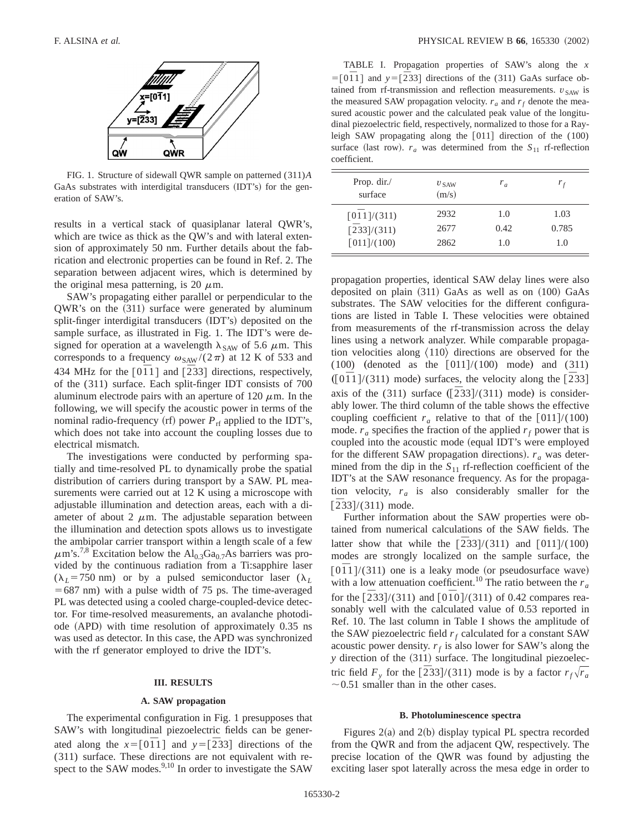

FIG. 1. Structure of sidewall QWR sample on patterned (311)*A* GaAs substrates with interdigital transducers (IDT's) for the generation of SAW's.

results in a vertical stack of quasiplanar lateral QWR's, which are twice as thick as the QW's and with lateral extension of approximately 50 nm. Further details about the fabrication and electronic properties can be found in Ref. 2. The separation between adjacent wires, which is determined by the original mesa patterning, is 20  $\mu$ m.

SAW's propagating either parallel or perpendicular to the  $QWR$ 's on the  $(311)$  surface were generated by aluminum split-finger interdigital transducers (IDT's) deposited on the sample surface, as illustrated in Fig. 1. The IDT's were designed for operation at a wavelength  $\lambda_{SAW}$  of 5.6  $\mu$ m. This corresponds to a frequency  $\omega_{\text{SAW}} / (2\pi)$  at 12 K of 533 and 434 MHz for the  $[0\overline{1}1]$  and  $[\overline{2}33]$  directions, respectively, of the (311) surface. Each split-finger IDT consists of 700 aluminum electrode pairs with an aperture of 120  $\mu$ m. In the following, we will specify the acoustic power in terms of the nominal radio-frequency (rf) power  $P_{\text{rf}}$  applied to the IDT's, which does not take into account the coupling losses due to electrical mismatch.

The investigations were conducted by performing spatially and time-resolved PL to dynamically probe the spatial distribution of carriers during transport by a SAW. PL measurements were carried out at 12 K using a microscope with adjustable illumination and detection areas, each with a diameter of about 2  $\mu$ m. The adjustable separation between the illumination and detection spots allows us to investigate the ambipolar carrier transport within a length scale of a few  $\mu$ m's.<sup>7,8</sup> Excitation below the Al<sub>0.3</sub>Ga<sub>0.7</sub>As barriers was provided by the continuous radiation from a Ti:sapphire laser  $(\lambda_L = 750 \text{ nm})$  or by a pulsed semiconductor laser  $(\lambda_L$  $=687$  nm) with a pulse width of 75 ps. The time-averaged PL was detected using a cooled charge-coupled-device detector. For time-resolved measurements, an avalanche photodiode  $(APD)$  with time resolution of approximately 0.35 ns was used as detector. In this case, the APD was synchronized with the rf generator employed to drive the IDT's.

# **III. RESULTS**

#### **A. SAW propagation**

The experimental configuration in Fig. 1 presupposes that SAW's with longitudinal piezoelectric fields can be generated along the  $x=[0\overline{1}1]$  and  $y=[\overline{2}33]$  directions of the (311) surface. These directions are not equivalent with respect to the SAW modes. $9,10$  In order to investigate the SAW

TABLE I. Propagation properties of SAW's along the *x*  $=$ [0 $\overline{1}$ ] and  $y =$ [ $\overline{2}$ 33] directions of the (311) GaAs surface obtained from rf-transmission and reflection measurements.  $v_{SAW}$  is the measured SAW propagation velocity.  $r_a$  and  $r_f$  denote the measured acoustic power and the calculated peak value of the longitudinal piezoelectric field, respectively, normalized to those for a Rayleigh SAW propagating along the  $[011]$  direction of the  $(100)$ surface (last row).  $r_a$  was determined from the  $S_{11}$  rf-reflection coefficient.

| Prop. $dir.$<br>surface     | $v_{\text{SAW}}$<br>(m/s) | $r_a$ | $r_f$ |
|-----------------------------|---------------------------|-------|-------|
| $\lceil 01 \rceil / (311)$  | 2932                      | 1.0   | 1.03  |
| $\lceil 233 \rceil/(311)$   | 2677                      | 0.42  | 0.785 |
| $\lceil 011 \rceil / (100)$ | 2862                      | 1.0   | 1.0   |

propagation properties, identical SAW delay lines were also deposited on plain  $(311)$  GaAs as well as on  $(100)$  GaAs substrates. The SAW velocities for the different configurations are listed in Table I. These velocities were obtained from measurements of the rf-transmission across the delay lines using a network analyzer. While comparable propagation velocities along  $\langle 110 \rangle$  directions are observed for the  $(100)$  (denoted as the  $[011]/(100)$  mode) and  $(311)$  $(10\bar{1}1/(311) \text{ mode})$  surfaces, the velocity along the  $[233]$ axis of the  $(311)$  surface  $([\overline{2}33]/(311)$  mode) is considerably lower. The third column of the table shows the effective coupling coefficient  $r_a$  relative to that of the  $[011]/(100)$ mode.  $r_a$  specifies the fraction of the applied  $r_f$  power that is coupled into the acoustic mode (equal IDT's were employed for the different SAW propagation directions).  $r_a$  was determined from the dip in the  $S_{11}$  rf-reflection coefficient of the IDT's at the SAW resonance frequency. As for the propagation velocity,  $r_a$  is also considerably smaller for the  $\left[\frac{233}{(311)}\right]$  mode.

Further information about the SAW properties were obtained from numerical calculations of the SAW fields. The latter show that while the  $\left[233\right]/(311)$  and  $\left[011\right]/(100)$ modes are strongly localized on the sample surface, the  $[0\bar{1}1]/(311)$  one is a leaky mode (or pseudosurface wave) with a low attenuation coefficient.<sup>10</sup> The ratio between the  $r_a$ for the  $\left[\frac{233}{(311)}\right]$  and  $\left[\frac{010}{(311)}\right]$  of 0.42 compares reasonably well with the calculated value of 0.53 reported in Ref. 10. The last column in Table I shows the amplitude of the SAW piezoelectric field  $r_f$  calculated for a constant SAW acoustic power density.  $r_f$  is also lower for SAW's along the *y* direction of the (311) surface. The longitudinal piezoelectric field  $F_y$  for the  $\left[\frac{233}{(311)}\right]$  mode is by a factor  $r_f\sqrt{r_a}$  $\sim$  0.51 smaller than in the other cases.

#### **B. Photoluminescence spectra**

Figures  $2(a)$  and  $2(b)$  display typical PL spectra recorded from the QWR and from the adjacent QW, respectively. The precise location of the QWR was found by adjusting the exciting laser spot laterally across the mesa edge in order to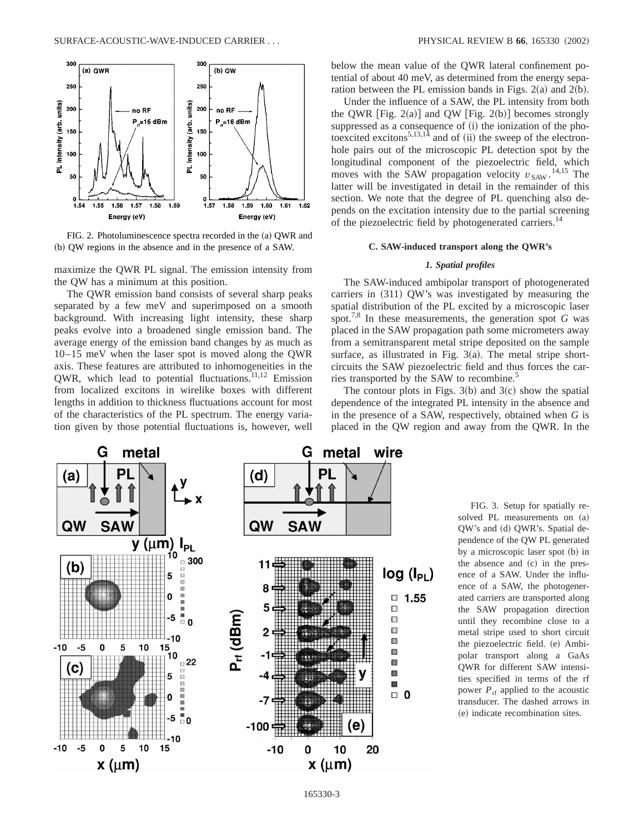

FIG. 2. Photoluminescence spectra recorded in the (a) QWR and (b) QW regions in the absence and in the presence of a SAW.

maximize the QWR PL signal. The emission intensity from the QW has a minimum at this position.

The QWR emission band consists of several sharp peaks separated by a few meV and superimposed on a smooth background. With increasing light intensity, these sharp peaks evolve into a broadened single emission band. The average energy of the emission band changes by as much as 10–15 meV when the laser spot is moved along the QWR axis. These features are attributed to inhomogeneities in the QWR, which lead to potential fluctuations. $11,12$  Emission from localized excitons in wirelike boxes with different lengths in addition to thickness fluctuations account for most of the characteristics of the PL spectrum. The energy variation given by those potential fluctuations is, however, well below the mean value of the QWR lateral confinement potential of about 40 meV, as determined from the energy separation between the PL emission bands in Figs.  $2(a)$  and  $2(b)$ .

Under the influence of a SAW, the PL intensity from both the QWR [Fig. 2(a)] and QW [Fig. 2(b)] becomes strongly suppressed as a consequence of (i) the ionization of the photoexcited excitons<sup>5,13,14</sup> and of  $(ii)$  the sweep of the electronhole pairs out of the microscopic PL detection spot by the longitudinal component of the piezoelectric field, which moves with the SAW propagation velocity  $v_{SAW}$ .<sup>14,15</sup> The latter will be investigated in detail in the remainder of this section. We note that the degree of PL quenching also depends on the excitation intensity due to the partial screening of the piezoelectric field by photogenerated carriers.<sup>14</sup>

### **C. SAW-induced transport along the QWR's**

#### *1. Spatial profiles*

The SAW-induced ambipolar transport of photogenerated carriers in  $(311)$  QW's was investigated by measuring the spatial distribution of the PL excited by a microscopic laser spot.<sup>7,8</sup> In these measurements, the generation spot  $G$  was placed in the SAW propagation path some micrometers away from a semitransparent metal stripe deposited on the sample surface, as illustrated in Fig.  $3(a)$ . The metal stripe shortcircuits the SAW piezoelectric field and thus forces the carries transported by the SAW to recombine.<sup>5</sup>

The contour plots in Figs.  $3(b)$  and  $3(c)$  show the spatial dependence of the integrated PL intensity in the absence and in the presence of a SAW, respectively, obtained when *G* is placed in the QW region and away from the QWR. In the



FIG. 3. Setup for spatially resolved PL measurements on  $(a)$ QW's and (d) QWR's. Spatial dependence of the QW PL generated by a microscopic laser spot (b) in the absence and  $(c)$  in the presence of a SAW. Under the influence of a SAW, the photogenerated carriers are transported along the SAW propagation direction until they recombine close to a metal stripe used to short circuit the piezoelectric field. (e) Ambipolar transport along a GaAs QWR for different SAW intensities specified in terms of the rf power  $P_{\text{rf}}$  applied to the acoustic transducer. The dashed arrows in  $(e)$  indicate recombination sites.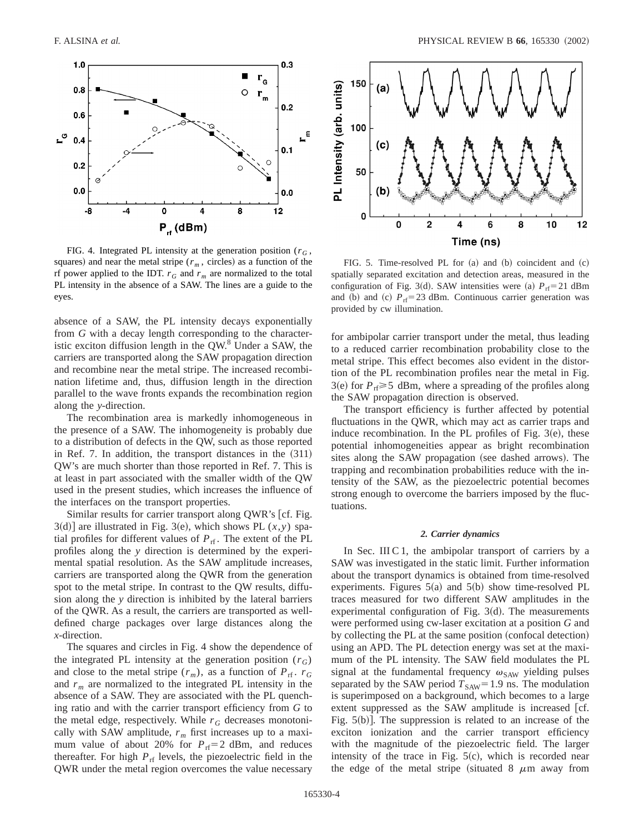

FIG. 4. Integrated PL intensity at the generation position ( $r<sub>G</sub>$ , squares) and near the metal stripe ( $r<sub>m</sub>$ , circles) as a function of the rf power applied to the IDT.  $r_G$  and  $r_m$  are normalized to the total PL intensity in the absence of a SAW. The lines are a guide to the eyes.

absence of a SAW, the PL intensity decays exponentially from *G* with a decay length corresponding to the characteristic exciton diffusion length in the  $QW$ .<sup>8</sup> Under a SAW, the carriers are transported along the SAW propagation direction and recombine near the metal stripe. The increased recombination lifetime and, thus, diffusion length in the direction parallel to the wave fronts expands the recombination region along the *y*-direction.

The recombination area is markedly inhomogeneous in the presence of a SAW. The inhomogeneity is probably due to a distribution of defects in the QW, such as those reported in Ref. 7. In addition, the transport distances in the  $(311)$ QW's are much shorter than those reported in Ref. 7. This is at least in part associated with the smaller width of the QW used in the present studies, which increases the influence of the interfaces on the transport properties.

Similar results for carrier transport along QWR's [cf. Fig.  $3(d)$ ] are illustrated in Fig. 3(e), which shows PL  $(x, y)$  spatial profiles for different values of  $P_{\text{rf}}$ . The extent of the PL profiles along the *y* direction is determined by the experimental spatial resolution. As the SAW amplitude increases, carriers are transported along the QWR from the generation spot to the metal stripe. In contrast to the QW results, diffusion along the *y* direction is inhibited by the lateral barriers of the QWR. As a result, the carriers are transported as welldefined charge packages over large distances along the *x*-direction.

The squares and circles in Fig. 4 show the dependence of the integrated PL intensity at the generation position  $(r_G)$ and close to the metal stripe  $(r_m)$ , as a function of  $P_{\text{rf}}$ .  $r_G$ and  $r_m$  are normalized to the integrated PL intensity in the absence of a SAW. They are associated with the PL quenching ratio and with the carrier transport efficiency from *G* to the metal edge, respectively. While  $r_G$  decreases monotonically with SAW amplitude,  $r_m$  first increases up to a maximum value of about 20% for  $P_{\text{rf}}=2$  dBm, and reduces thereafter. For high  $P_{\text{rf}}$  levels, the piezoelectric field in the QWR under the metal region overcomes the value necessary



FIG. 5. Time-resolved PL for  $(a)$  and  $(b)$  coincident and  $(c)$ spatially separated excitation and detection areas, measured in the configuration of Fig. 3(d). SAW intensities were (a)  $P_{\text{rf}} = 21$  dBm and (b) and (c)  $P_{\text{rf}} = 23$  dBm. Continuous carrier generation was provided by cw illumination.

for ambipolar carrier transport under the metal, thus leading to a reduced carrier recombination probability close to the metal stripe. This effect becomes also evident in the distortion of the PL recombination profiles near the metal in Fig.  $3(e)$  for  $P_{\text{rf}} \ge 5$  dBm, where a spreading of the profiles along the SAW propagation direction is observed.

The transport efficiency is further affected by potential fluctuations in the QWR, which may act as carrier traps and induce recombination. In the PL profiles of Fig.  $3(e)$ , these potential inhomogeneities appear as bright recombination sites along the SAW propagation (see dashed arrows). The trapping and recombination probabilities reduce with the intensity of the SAW, as the piezoelectric potential becomes strong enough to overcome the barriers imposed by the fluctuations.

#### *2. Carrier dynamics*

In Sec. III C 1, the ambipolar transport of carriers by a SAW was investigated in the static limit. Further information about the transport dynamics is obtained from time-resolved experiments. Figures  $5(a)$  and  $5(b)$  show time-resolved PL traces measured for two different SAW amplitudes in the experimental configuration of Fig.  $3(d)$ . The measurements were performed using cw-laser excitation at a position *G* and by collecting the PL at the same position (confocal detection) using an APD. The PL detection energy was set at the maximum of the PL intensity. The SAW field modulates the PL signal at the fundamental frequency  $\omega_{\text{SAW}}$  yielding pulses separated by the SAW period  $T_{SAW}$ = 1.9 ns. The modulation is superimposed on a background, which becomes to a large extent suppressed as the SAW amplitude is increased [cf. Fig.  $5(b)$ ]. The suppression is related to an increase of the exciton ionization and the carrier transport efficiency with the magnitude of the piezoelectric field. The larger intensity of the trace in Fig.  $5(c)$ , which is recorded near the edge of the metal stripe (situated 8  $\mu$ m away from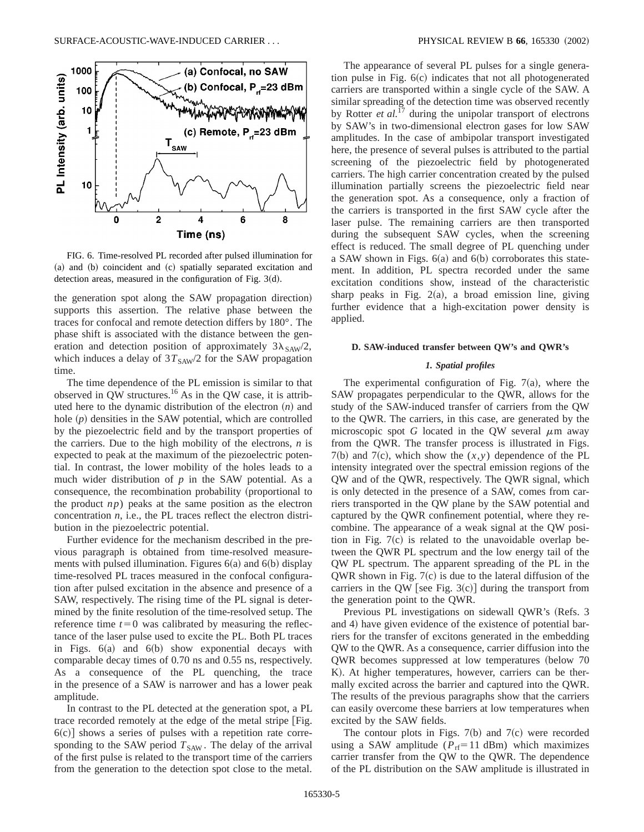

FIG. 6. Time-resolved PL recorded after pulsed illumination for (a) and (b) coincident and (c) spatially separated excitation and detection areas, measured in the configuration of Fig.  $3(d)$ .

the generation spot along the SAW propagation direction) supports this assertion. The relative phase between the traces for confocal and remote detection differs by 180°. The phase shift is associated with the distance between the generation and detection position of approximately  $3\lambda_{SAW}/2$ , which induces a delay of  $3T_{SAW}/2$  for the SAW propagation time.

The time dependence of the PL emission is similar to that observed in  $QW$  structures.<sup>16</sup> As in the QW case, it is attributed here to the dynamic distribution of the electron  $(n)$  and hole  $(p)$  densities in the SAW potential, which are controlled by the piezoelectric field and by the transport properties of the carriers. Due to the high mobility of the electrons, *n* is expected to peak at the maximum of the piezoelectric potential. In contrast, the lower mobility of the holes leads to a much wider distribution of *p* in the SAW potential. As a consequence, the recombination probability (proportional to the product  $np$ ) peaks at the same position as the electron concentration *n*, i.e., the PL traces reflect the electron distribution in the piezoelectric potential.

Further evidence for the mechanism described in the previous paragraph is obtained from time-resolved measurements with pulsed illumination. Figures  $6(a)$  and  $6(b)$  display time-resolved PL traces measured in the confocal configuration after pulsed excitation in the absence and presence of a SAW, respectively. The rising time of the PL signal is determined by the finite resolution of the time-resolved setup. The reference time  $t=0$  was calibrated by measuring the reflectance of the laser pulse used to excite the PL. Both PL traces in Figs.  $6(a)$  and  $6(b)$  show exponential decays with comparable decay times of 0.70 ns and 0.55 ns, respectively. As a consequence of the PL quenching, the trace in the presence of a SAW is narrower and has a lower peak amplitude.

In contrast to the PL detected at the generation spot, a PL trace recorded remotely at the edge of the metal stripe [Fig.  $6(c)$ ] shows a series of pulses with a repetition rate corresponding to the SAW period  $T_{SAW}$ . The delay of the arrival of the first pulse is related to the transport time of the carriers from the generation to the detection spot close to the metal.

The appearance of several PL pulses for a single generation pulse in Fig.  $6(c)$  indicates that not all photogenerated carriers are transported within a single cycle of the SAW. A similar spreading of the detection time was observed recently by Rotter *et al.*<sup>17</sup> during the unipolar transport of electrons by SAW's in two-dimensional electron gases for low SAW amplitudes. In the case of ambipolar transport investigated here, the presence of several pulses is attributed to the partial screening of the piezoelectric field by photogenerated carriers. The high carrier concentration created by the pulsed illumination partially screens the piezoelectric field near the generation spot. As a consequence, only a fraction of the carriers is transported in the first SAW cycle after the laser pulse. The remaining carriers are then transported during the subsequent SAW cycles, when the screening effect is reduced. The small degree of PL quenching under a SAW shown in Figs.  $6(a)$  and  $6(b)$  corroborates this statement. In addition, PL spectra recorded under the same excitation conditions show, instead of the characteristic sharp peaks in Fig.  $2(a)$ , a broad emission line, giving further evidence that a high-excitation power density is applied.

# **D. SAW-induced transfer between QW's and QWR's**

### *1. Spatial profiles*

The experimental configuration of Fig.  $7(a)$ , where the SAW propagates perpendicular to the QWR, allows for the study of the SAW-induced transfer of carriers from the QW to the QWR. The carriers, in this case, are generated by the microscopic spot *G* located in the QW several  $\mu$ m away from the QWR. The transfer process is illustrated in Figs.  $7(b)$  and  $7(c)$ , which show the  $(x,y)$  dependence of the PL intensity integrated over the spectral emission regions of the QW and of the QWR, respectively. The QWR signal, which is only detected in the presence of a SAW, comes from carriers transported in the QW plane by the SAW potential and captured by the QWR confinement potential, where they recombine. The appearance of a weak signal at the QW position in Fig.  $7(c)$  is related to the unavoidable overlap between the QWR PL spectrum and the low energy tail of the QW PL spectrum. The apparent spreading of the PL in the QWR shown in Fig.  $7(c)$  is due to the lateral diffusion of the carriers in the QW [see Fig.  $3(c)$ ] during the transport from the generation point to the QWR.

Previous PL investigations on sidewall QWR's (Refs. 3 and 4) have given evidence of the existence of potential barriers for the transfer of excitons generated in the embedding QW to the QWR. As a consequence, carrier diffusion into the OWR becomes suppressed at low temperatures (below 70 K). At higher temperatures, however, carriers can be thermally excited across the barrier and captured into the QWR. The results of the previous paragraphs show that the carriers can easily overcome these barriers at low temperatures when excited by the SAW fields.

The contour plots in Figs.  $7(b)$  and  $7(c)$  were recorded using a SAW amplitude ( $P_{\text{rf}}$ =11 dBm) which maximizes carrier transfer from the QW to the QWR. The dependence of the PL distribution on the SAW amplitude is illustrated in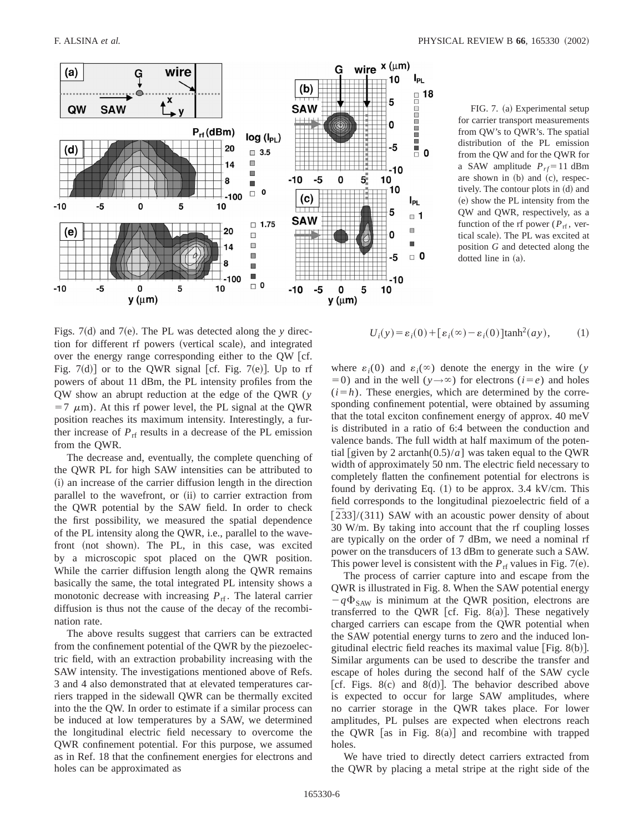

FIG. 7. (a) Experimental setup for carrier transport measurements from QW's to QWR's. The spatial distribution of the PL emission from the QW and for the QWR for a SAW amplitude  $P_{rf} = 11$  dBm are shown in  $(b)$  and  $(c)$ , respectively. The contour plots in (d) and (e) show the PL intensity from the QW and QWR, respectively, as a function of the rf power ( $P_{\text{rf}}$ , vertical scale). The PL was excited at position *G* and detected along the dotted line in (a).

Figs.  $7(d)$  and  $7(e)$ . The PL was detected along the *y* direction for different rf powers (vertical scale), and integrated over the energy range corresponding either to the  $QW$  [cf. Fig.  $7(d)$  or to the QWR signal [cf. Fig.  $7(e)$ ]. Up to rf powers of about 11 dBm, the PL intensity profiles from the QW show an abrupt reduction at the edge of the QWR (*y*  $=7 \mu m$ ). At this rf power level, the PL signal at the QWR position reaches its maximum intensity. Interestingly, a further increase of  $P_{\text{rf}}$  results in a decrease of the PL emission from the QWR.

The decrease and, eventually, the complete quenching of the QWR PL for high SAW intensities can be attributed to  $(i)$  an increase of the carrier diffusion length in the direction parallel to the wavefront, or (ii) to carrier extraction from the QWR potential by the SAW field. In order to check the first possibility, we measured the spatial dependence of the PL intensity along the QWR, i.e., parallel to the wavefront (not shown). The PL, in this case, was excited by a microscopic spot placed on the QWR position. While the carrier diffusion length along the QWR remains basically the same, the total integrated PL intensity shows a monotonic decrease with increasing  $P_{\text{rf}}$ . The lateral carrier diffusion is thus not the cause of the decay of the recombination rate.

The above results suggest that carriers can be extracted from the confinement potential of the QWR by the piezoelectric field, with an extraction probability increasing with the SAW intensity. The investigations mentioned above of Refs. 3 and 4 also demonstrated that at elevated temperatures carriers trapped in the sidewall QWR can be thermally excited into the the QW. In order to estimate if a similar process can be induced at low temperatures by a SAW, we determined the longitudinal electric field necessary to overcome the QWR confinement potential. For this purpose, we assumed as in Ref. 18 that the confinement energies for electrons and holes can be approximated as

$$
U_i(y) = \varepsilon_i(0) + [\varepsilon_i(\infty) - \varepsilon_i(0)] \tanh^2(ay), \qquad (1)
$$

where  $\varepsilon_i(0)$  and  $\varepsilon_i(\infty)$  denote the energy in the wire (*y*  $(50)$  and in the well ( $y \rightarrow \infty$ ) for electrons ( $i = e$ ) and holes  $(i=h)$ . These energies, which are determined by the corresponding confinement potential, were obtained by assuming that the total exciton confinement energy of approx. 40 meV is distributed in a ratio of 6:4 between the conduction and valence bands. The full width at half maximum of the potential [given by 2 arctanh $(0.5)/a$ ] was taken equal to the QWR width of approximately 50 nm. The electric field necessary to completely flatten the confinement potential for electrons is found by derivating Eq.  $(1)$  to be approx. 3.4 kV/cm. This field corresponds to the longitudinal piezoelectric field of a  $\left[\overline{2}33\right]/(311)$  SAW with an acoustic power density of about 30 W/m. By taking into account that the rf coupling losses are typically on the order of 7 dBm, we need a nominal rf power on the transducers of 13 dBm to generate such a SAW. This power level is consistent with the  $P_{\text{rf}}$  values in Fig. 7(e).

The process of carrier capture into and escape from the QWR is illustrated in Fig. 8. When the SAW potential energy  $-q\Phi_{SAW}$  is minimum at the QWR position, electrons are transferred to the QWR [cf. Fig. 8(a)]. These negatively charged carriers can escape from the QWR potential when the SAW potential energy turns to zero and the induced longitudinal electric field reaches its maximal value  $[Fig. 8(b)].$ Similar arguments can be used to describe the transfer and escape of holes during the second half of the SAW cycle [cf. Figs. 8 $(c)$  and 8 $(d)$ ]. The behavior described above is expected to occur for large SAW amplitudes, where no carrier storage in the QWR takes place. For lower amplitudes, PL pulses are expected when electrons reach the QWR [as in Fig.  $8(a)$ ] and recombine with trapped holes.

We have tried to directly detect carriers extracted from the QWR by placing a metal stripe at the right side of the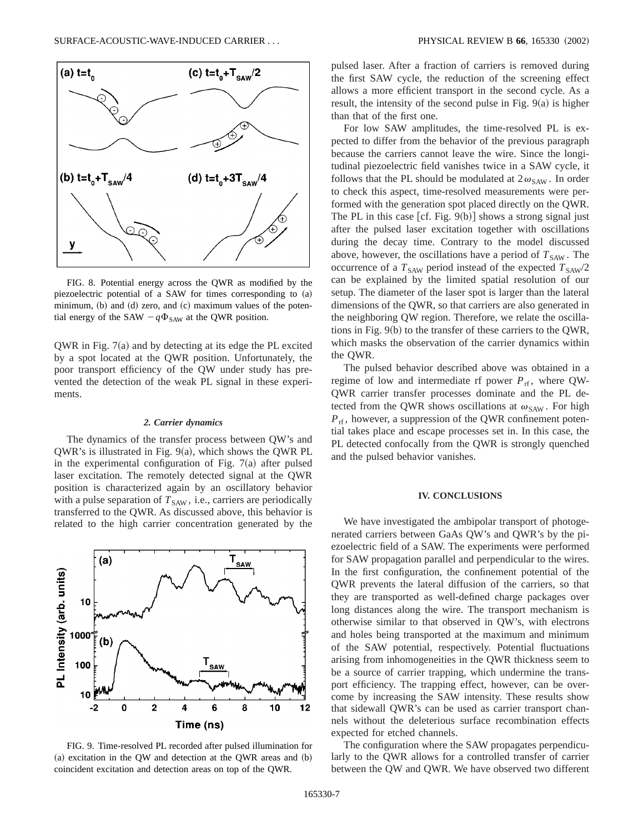

FIG. 8. Potential energy across the QWR as modified by the piezoelectric potential of a SAW for times corresponding to  $(a)$ minimum, (b) and (d) zero, and (c) maximum values of the potential energy of the SAW  $-q\Phi_{SAW}$  at the QWR position.

QWR in Fig.  $7(a)$  and by detecting at its edge the PL excited by a spot located at the QWR position. Unfortunately, the poor transport efficiency of the QW under study has prevented the detection of the weak PL signal in these experiments.

# *2. Carrier dynamics*

The dynamics of the transfer process between QW's and  $QWR$ 's is illustrated in Fig. 9 $(a)$ , which shows the QWR PL in the experimental configuration of Fig.  $7(a)$  after pulsed laser excitation. The remotely detected signal at the QWR position is characterized again by an oscillatory behavior with a pulse separation of  $T<sub>SAW</sub>$ , i.e., carriers are periodically transferred to the QWR. As discussed above, this behavior is related to the high carrier concentration generated by the



FIG. 9. Time-resolved PL recorded after pulsed illumination for  $(a)$  excitation in the QW and detection at the QWR areas and  $(b)$ coincident excitation and detection areas on top of the QWR.

pulsed laser. After a fraction of carriers is removed during the first SAW cycle, the reduction of the screening effect allows a more efficient transport in the second cycle. As a result, the intensity of the second pulse in Fig.  $9(a)$  is higher than that of the first one.

For low SAW amplitudes, the time-resolved PL is expected to differ from the behavior of the previous paragraph because the carriers cannot leave the wire. Since the longitudinal piezoelectric field vanishes twice in a SAW cycle, it follows that the PL should be modulated at  $2\omega_{SAW}$ . In order to check this aspect, time-resolved measurements were performed with the generation spot placed directly on the QWR. The PL in this case  $[cf. Fig. 9(b)]$  shows a strong signal just after the pulsed laser excitation together with oscillations during the decay time. Contrary to the model discussed above, however, the oscillations have a period of  $T_{SAW}$ . The occurrence of a  $T_{SAW}$  period instead of the expected  $T_{SAW}/2$ can be explained by the limited spatial resolution of our setup. The diameter of the laser spot is larger than the lateral dimensions of the QWR, so that carriers are also generated in the neighboring QW region. Therefore, we relate the oscillations in Fig.  $9(b)$  to the transfer of these carriers to the QWR, which masks the observation of the carrier dynamics within the QWR.

The pulsed behavior described above was obtained in a regime of low and intermediate rf power  $P_{\text{rf}}$ , where QW-QWR carrier transfer processes dominate and the PL detected from the QWR shows oscillations at  $\omega_{\text{SAW}}$ . For high  $P_{\text{rf}}$ , however, a suppression of the QWR confinement potential takes place and escape processes set in. In this case, the PL detected confocally from the QWR is strongly quenched and the pulsed behavior vanishes.

### **IV. CONCLUSIONS**

We have investigated the ambipolar transport of photogenerated carriers between GaAs QW's and QWR's by the piezoelectric field of a SAW. The experiments were performed for SAW propagation parallel and perpendicular to the wires. In the first configuration, the confinement potential of the QWR prevents the lateral diffusion of the carriers, so that they are transported as well-defined charge packages over long distances along the wire. The transport mechanism is otherwise similar to that observed in QW's, with electrons and holes being transported at the maximum and minimum of the SAW potential, respectively. Potential fluctuations arising from inhomogeneities in the QWR thickness seem to be a source of carrier trapping, which undermine the transport efficiency. The trapping effect, however, can be overcome by increasing the SAW intensity. These results show that sidewall QWR's can be used as carrier transport channels without the deleterious surface recombination effects expected for etched channels.

The configuration where the SAW propagates perpendicularly to the QWR allows for a controlled transfer of carrier between the QW and QWR. We have observed two different